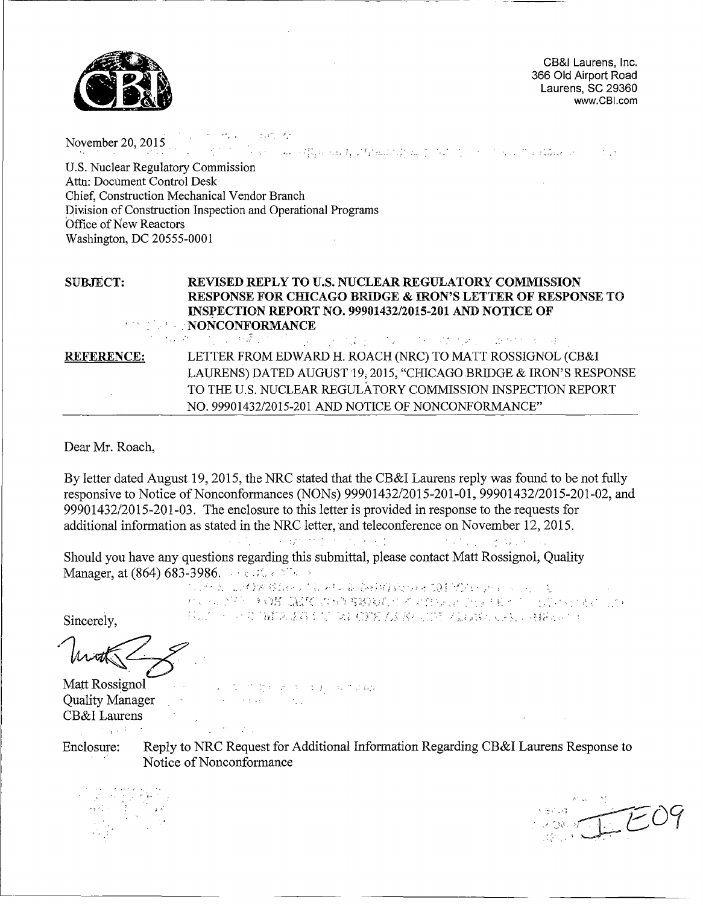

CB&I Laurens, Inc. 366 Old Airport Road Laurens, SC 29360 www.CBI.com

オーカル しょうか か November 20, 2015  $\mathcal{A}=\mathcal{A}$ U.S. Nuclear Regulatory Commission U.S. Nuclear Regulatory Commission<br>Attn: Document Control Desk Chief, Construction Mechanical Vendor Branch Division of Construction Inspection and Operational Programs Office of New Reactors Washington, DC 20555-0001 SUBJECT: REVISED REPLY TO U.S. NUCLEAR REGULATORY COMMISSION RESPONSE FOR CHICAGO BRIDGE & IRON'S LETTER OF RESPONSE TO INSPECTION REPORT NO. 99901432/2015-201 AND NOTICE OF .. 'NONCONFORMANCE LETTER FROM EDWARD H. ROACH (NRC) TO MATT ROSSIGNOL (CB&I REFERENCE:

LAURENS) DATED AUGUST 19, 2015, "CHICAGO BRIDGE & IRON'S RESPONSE TO THE U.S. NUCLEAR REGULATORY COMMISSION INSPECTION REPORT NO. 9990 1432/2015-201 AND NOTICE OF NONCONFORMANCE"

Dear Mr. Roach,

By letter dated August 19, *2015,* the NRC stated that the CB&I Laurens reply was found to be not fully responsive to Notice of Nonconformances (NONs) 99901432/2015-201-01, 99901432/2015-201-02, and 99901432/2015-201-03. The enclosure to this letter is provided in response to the requests for additional information as stated in the NRC letter, and teleconference on November 12, 2015.

Should you have any questions regarding this submittal, please contact Matt Rossignol, Quality Manager, at  $(864)$  683-3986.  $\cdots$ .  $\mathcal{I}_{\mathcal{S}}$  and  $\mathcal{S}$ 

医原子的 医异醇烯 核晶石 计算器标记 寡 豪雅的复数形式 有真正使得 经受损的 人名德尔 Sincerely, ;•• •: .: ',• .;• :: :;•.: .

Matt Rossignol . :, ,: :• :- •. Quality Manager **Figure 1.1 August 2.1** CB&I Laurens  $\sim 220$  matrix 计加重关键 计图

Enclosure: Reply to NRC Request for Additional Information Regarding CB&I Laurens Response to Notice of Nonconformance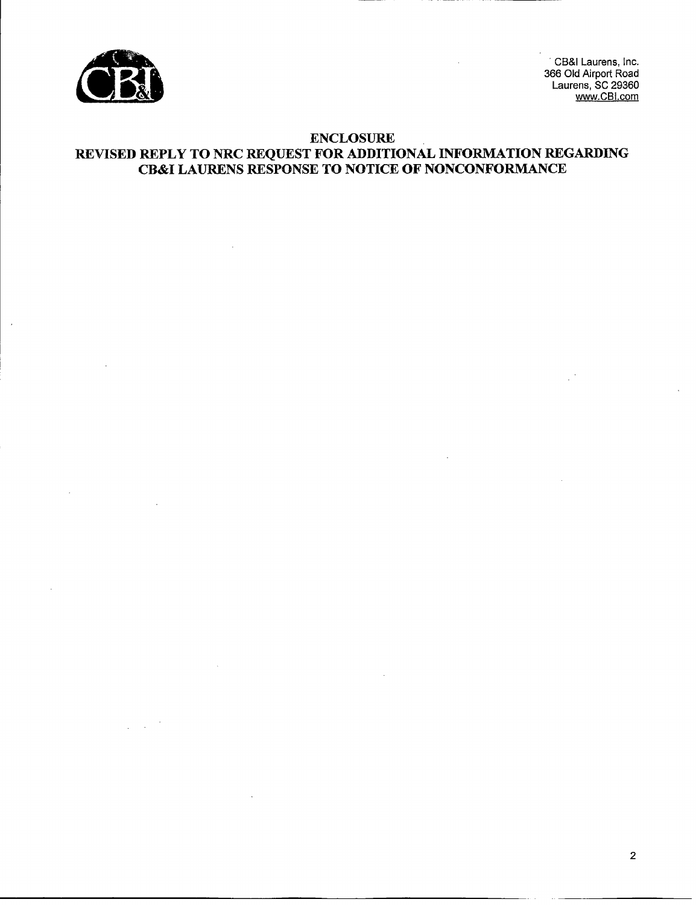

.co Cia Alipon Road<br>Laurens, SC 20360 **p** 366 Old Airport Road Jo Olu Alipolt Hodd<br>Laurens, SC 20360 www.CBI.com

# ENCLOSURE REVISED REPLY TO NRC REQUEST FOR ADDITIONAL INFORMATION REGARDING CB&I LAURENS RESPONSE TO NOTICE OF NONCONFORMANCE

2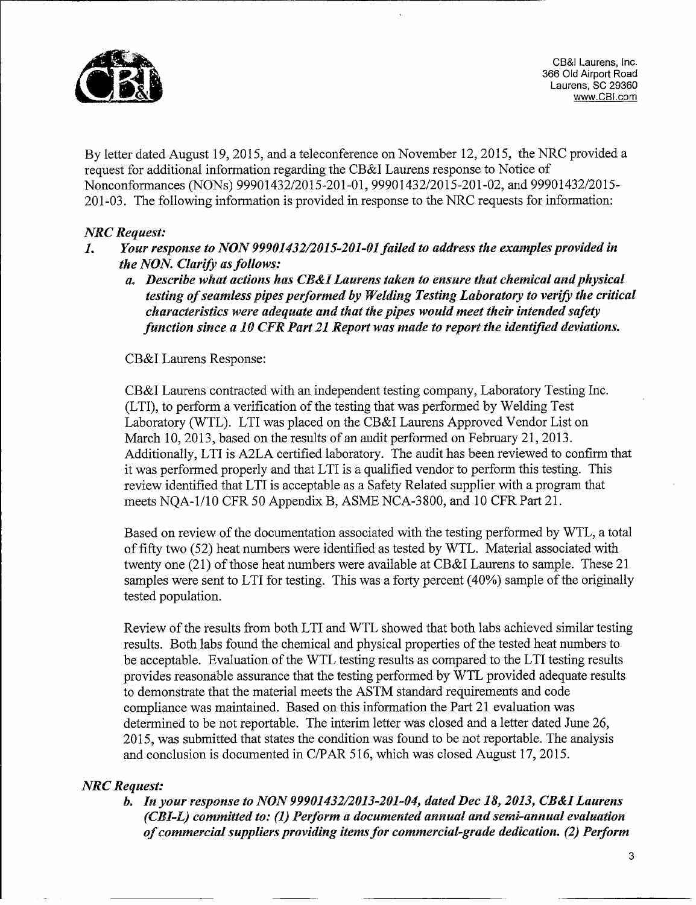

CB&l Laurens, Inc. 366 Old Airport Road Laurens, SC 29360 www.CBl.com

By letter dated August 19, *2015,* and a teleconference on November 12, 2015, the NRC provided a request for additional information regarding the CB&I Laurens response to Notice of Nonconformances (NONs) 99901432/2015-201-01, 99901432/2015-201-02, and 99901432/2015- 201-03. The following information is provided in response to the NRC requests for information:

# *NRC Request:*

- 1. *Your response to NON 99901432/2015-201-01 failed to address the examples provided in*  $\mathbf{I}$ . *the NON. Clarify as follows:* 
	- *a. Describe what actions has CB&I Laurens taken to ensure that chemical and physical testing of seamless pipes performed by Welding Testing Laboratory to verify the critical characteristics were adequate and that the pipes would meet their intended safety function since a 10 CER Part 21 Report was made to report the identified deviations.*

CB&I Laurens Response:

CB&I Laurens contracted with an independent testing company, Laboratory Testing Inc. (LTI), to perform a verification of the testing that was performed by Welding Test Laboratory (WTL). LTI was placed on the CB&I Laurens Approved Vendor List on March 10, 2013, based on the results of an audit performed on February 21, 2013. Additionally, LTI is A2LA certified laboratory. The audit has been reviewed to confirm that it was performed properly and that LTI is a qualified vendor to perform this testing. This review identified that LTI is acceptable as a Safety Related supplier with a program that meets NQA-1/10 CFR 50 Appendix B, ASME NCA-3800, and 10 CFR Part 21.

Based on review of the documentation associated with the testing performed by WTL, a total of fifty two (52) heat numbers were identified as tested by WTL. Material associated with twenty one (21) of those heat numbers were available at CB&I Laurens to sample. These 21 samples were sent to LTI for testing. This was a forty percent (40%) sample of the originally tested population.

Review of the results from both LTI and WTL showed that both labs achieved similar testing results. Both labs found the chemical and physical properties of the tested heat numbers to be acceptable. Evaluation of the WTL testing results as compared to the LTI testing results provides reasonable assurance that the testing performed by WTL provided adequate results to demonstrate that the material meets the ASTM standard requirements and code compliance was maintained. Based on this information the Part 21 evaluation was determined to be not reportable. The interim letter was closed and a letter dated June 26, 2015, was submitted that states the condition was found to be not reportable. The analysis and conclusion is documented in C/PAR 516, which was closed August 17, 2015.

# *NRC Request:*

*b. In your response to NON 99901432/2013-201-04, dated Dec 18, 2013, CB&I Laurens (CBI-L) committed to: (1) Perform a documented annual and semi-annual evaluation of commercial suppliers providing items for commercial-grade dedication. (2) Perform*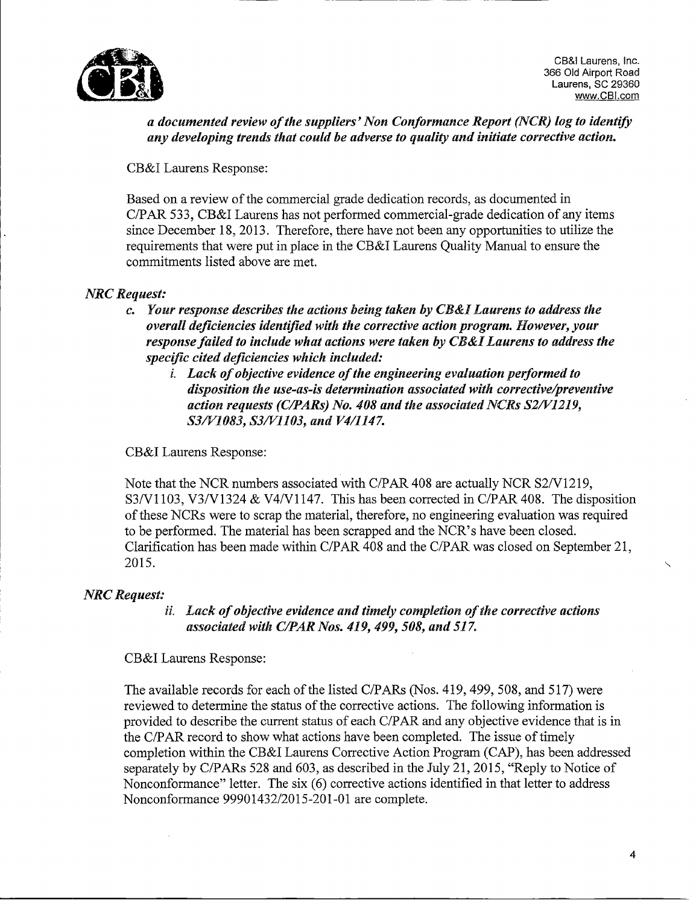

*a documented review of the suppliers' Non Conformance Report (NCR) log to identify any developing trends that could be adverse to quality and initiate corrective action.*

CB&I Laurens Response:

Based on a review of the commercial grade dedication records, as documented in C/PAR *533,* CB&I Laurens has not performed commercial-grade dedication of any items since December 18, 2013. Therefore, there have not been any opportunities to utilize the requirements that were put in place in the CB&I Laurens Quality Manual to ensure the commitments listed above are met.

# *NRC* Request:

- *c. Your response describes the actions being taken by CB&I Laurens to address the overall deficiencies identified with the corrective action program. However, your response failed to include what actions were taken by CB&I Laurens to address the specijfic cited deficiencies which included:*
	- *i. Lack of objective evidence of the engineering evaluation performed to disposition the use-as-is determination associated with corrective/preventive action requests (C/PARs) No. 408 and the associated NCRs S2/V1219, S3/V1083, S3/Vl103, and V4/1147.*

CB&J Laurens Response:

Note that the NCR numbers associated with C/PAR 408 are actually NCR S2/V1219, \$3/V1 103, V3/V1324 & V4/Vl1147. This has been corrected in C/PAR 408. The disposition of these NCRs were to scrap the material, therefore, no engineering evaluation was required to be performed. The material has been scrapped and the NCR's have been closed. Clarification has been made within C/PAR 408 and the C/PAR was closed on September 21, 2015.

*NRC Request:*<br>ii. Lack of objective evidence and timely completion of the corrective actions *associated with C/PAR Nos. 419, 499, 508, and 517.*

CB&I Laurens Response:

The available records for each of the listed C/PARS (Nos. 419, 499, 508, and 517) were reviewed to determine the status of the corrective actions. The following information is provided to describe the current status of each C/PAR and any objective evidence that is in the C/PAR record to show what actions have been completed. The issue of timely completion within the CB&I Laurens Corrective Action Program (CAP), has been addressed separately by C/PARs 528 and 603, as described in the July 21, 2015, "Reply to Notice of Nonconformance" letter. The six (6) corrective actions identified in that letter to address Nonconformance 99901432/2015-201-01 are complete.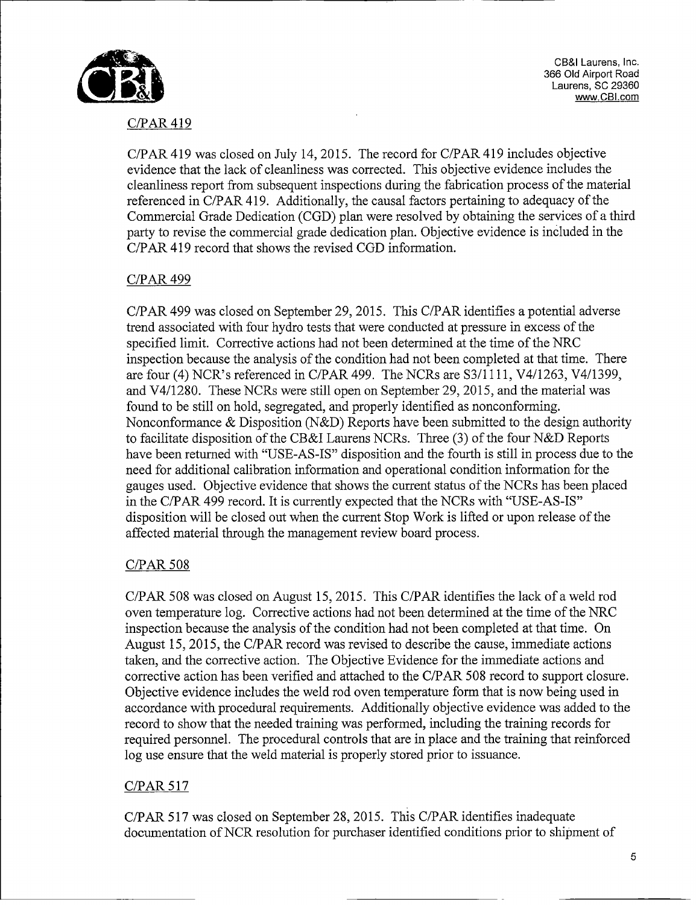

**~CB&I Laurens, Inc. Laurens, SC 29360 366 Old Airport Road www.CBl.corn**

# C/PAR 419

C/PAR 419 was closed on July 14, 2015. The record for C/PAR 419 includes objective evidence that the lack of cleanliness was corrected. This objective evidence includes the cleanliness report from subsequent inspections during the fabrication process of the material referenced in C/PAR 419. Additionally, the causal factors pertaining to adequacy of the Commercial Grade Dedication (CGD) plan were resolved by obtaining the services of a third party to revise the commercial grade dedication plan. Objective evidence is included in the C/PAR 419 record that shows the revised CGD information.

# C/PAR 499

C/PAR 499 was closed on September 29, 2015. This C/PAR identifies a potential adverse trend associated with four hydro tests that were conducted at pressure in excess of the specified limit. Corrective actions had not been determined at the time of the NRC inspection because the analysis of the condition had not been completed at that time. There are four (4) NCR's referenced in C/PAR 499. The NCRs are S3/1 111, V4/1263, V4/1399, and V4/1280. These NCRs were still open on September 29, 2015, and the material was found to be still on hold, segregated, and properly identified as nonconforming. Nonconformance & Disposition (N&D) Reports have been submitted to the design authority to facilitate disposition of the CB&I Laurens NCRs. Three (3) of the four N&D Reports have been returned with "USE-AS-IS" disposition and the fourth is still in process due to the need for additional calibration information and operational condition information for the gauges used. Objective evidence that shows the current status of the NCRs has been placed in the C/PAR 499 record. It is currently expected that the NCRs with "USE-AS-IS" disposition will be closed out when the current Stop Work is lifted or upon release of the affected material through the management review board process.

# C/PAR *508*

C/PAR 508 was closed on August 15, 2015. This C/PAR identifies the lack of a weld rod oven temperature log. Corrective actions had not been determined at the time of the NRC inspection because the analysis of the condition had not been completed at that time. On August 15, 2015, the C/PAR record was revised to describe the cause, immediate actions taken, and the corrective action. The Objective Evidence for the immediate actions and corrective action has been verified and attached to the C/PAR 508 record to support closure. Objective evidence includes the weld rod oven temperature form that is now being used in accordance with procedural requirements. Additionally objective evidence was added to the record to show that the needed training was performed, including the training records for required personnel. The procedural controls that are in place and the training that reinforced log use ensure that the weld material is properly stored prior to issuance.

# C/PAR 517

C/PAR *517* was closed on September 28, 2015. This C/PAR identifies inadequate documentation of NCR resolution for purchaser identified conditions prior to shipment of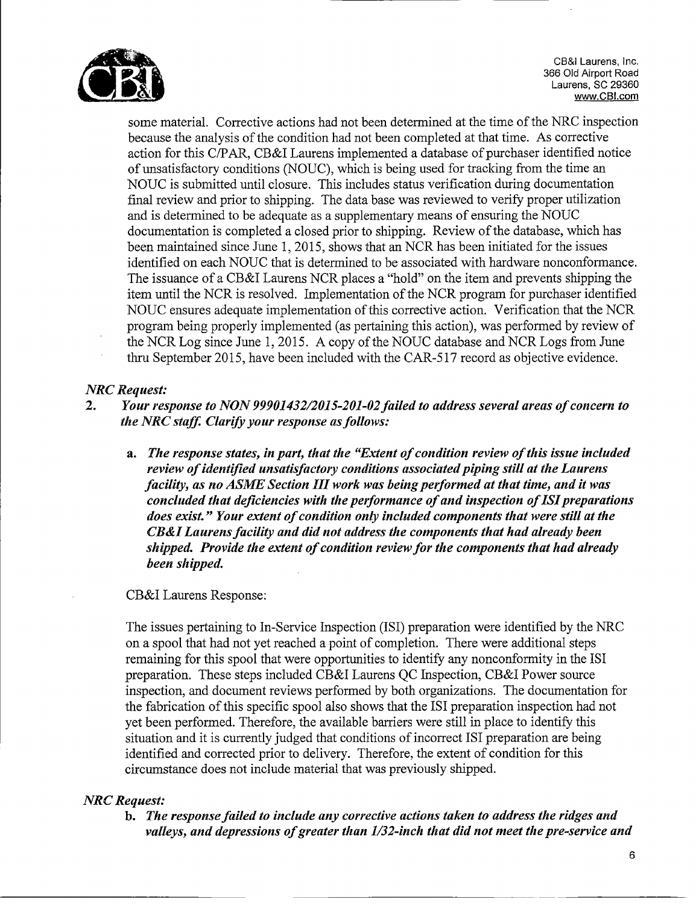

~CB&I Laurens, Inc. Laurens, SC 29360 CB&I Laurens, Inc.<br>366 Old Airport Road www.CB!.com

some material. Corrective actions had not been determined at the time of the NRC inspection because the analysis of the condition had not been completed at that time. As corrective action for this C/PAR, CB&I Laurens implemented a database of purchaser identified notice of unsatisfactory conditions (NOUC), which is being used for tracking from the time an NOUC is submitted until closure. This includes status verification during documentation final review and prior to shipping. The data base was reviewed to verify proper utilization and is determined to be adequate as a supplementary means of ensuring the NOUC documentation is completed a closed prior to shipping. Review of the database, which has been maintained since June 1, 2015, shows that an NCR has been initiated for the issues identified on each NOUC that is determined to be associated with hardware nonconformance. The issuance of a CB&I Laurens NCR places a '"hold" on the item and prevents shipping the item until the NCR is resolved. Implementation of the NCR program for purchaser identified NOUC ensures adequate implementation of this corrective action. Verification that the NCR program being properly implemented (as pertaining this action), was performed by review of the NCR Log since June 1, 2015. A copy of the NOUC database and NCR Logs from June thru September 2015, have been included with the CAR-517 record as objective evidence.

# *NRC Request:*

- 2. *Your response to NON 99901432/2015-201-02 failed to address several areas of concern to the NRC staff. Clarify your response as follows:*
	- *a. The response states, in part, that the "Extent of condition review of this issue included review of identified unsatisfactory conditions associated piping still at the Laurens facility, as no ASME Section III work was being performed at that time, and it was concluded that deficiencies with the performance of and inspection of ISI preparations does exist." Your extent of condition only included components that were still at the CB&I Laurens facility and did not address the components that had already been shipped. Provide the extent of condition review for the components that had already been shipped.*

# CB&I Laurens Response:

The issues pertaining to In-Service Inspection (ISI) preparation were identified by the NRC on a spool that had not yet reached a point of completion. There were additional steps remaining for this spool that were opportunities to identify any nonconformity in the ISI preparation. These steps included CB&I Laurens QC Inspection, CB&I Power source inspection, and document reviews performed by both organizations. The documentation for the fabrication of this specific spool also shows that the ISI preparation inspection had not yet been performed. Therefore, the available barriers were still in place to identify this situation and it is currently judged that conditions of incorrect ISI preparation are being identified and corrected prior to delivery. Therefore, the extent of condition for this circumstance does not include material that was previously shipped.

# *NRC Request:*

b. *The response failed to include any corrective actions taken to address the ridges and valleys, and depressions of greater than 1/32-inch that did not meet the pre-service and*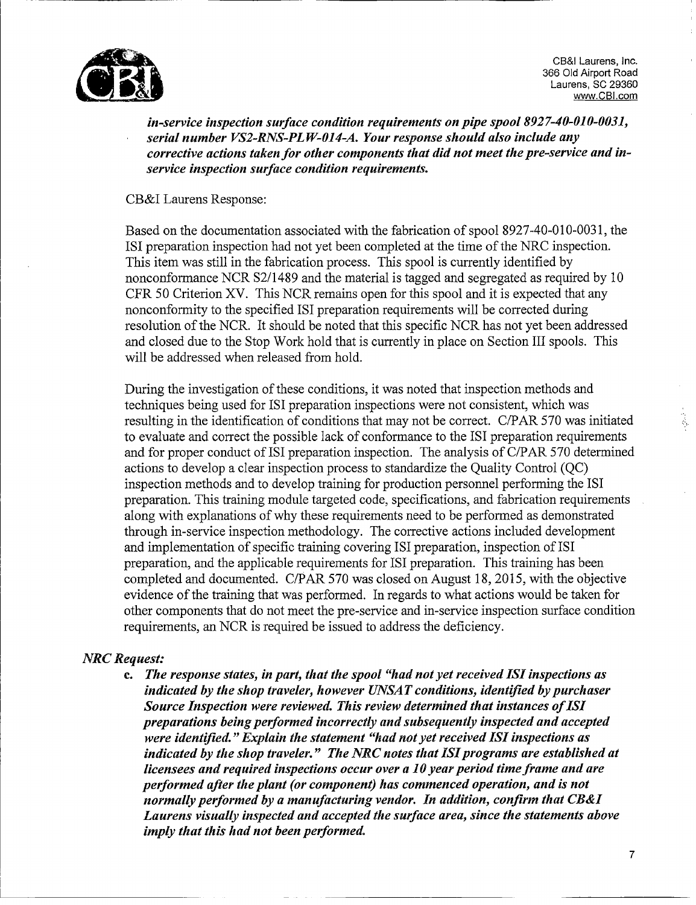

~CB&I Laurens, Inc. Laurens, SC 29360 CB&I Laurens, Inc.<br>366 Old Airport Road www.CBI.com

*in-service inspection surface condition requirements on pipe spool 8927-40-010-0031, serial number VS2-RNS-PLW-014-A. Your response should also include any corrective actions taken for other components that did not meet the pre-service and inservice inspection surface condition requirements.*

### CB&I Laurens Response:

Based on the documentation associated with the fabrication of spooi 8927-40-010-0031, the ISI preparation inspection had not yet been completed at the time of the NRC inspection. This item was still in the fabrication process. This spool is currently identified by nonconformance NCR \$2/1489 and the material is tagged and segregated as required by 10 CFR 50 Criterion XV. This NCR remains open for this spool and it is expected that any nonconformity to the specified ISI preparation requirements will be corrected during resolution of the NCR. It should be noted that this specific NCR has not yet been addressed and closed due to the Stop Work hold that is currently in place on Section III spools. This will be addressed when released from hold.

During the investigation of these conditions, it was noted that inspection methods and techniques being used for ISI preparation inspections were not consistent, which was resulting in the identification of conditions that may not be correct. C/PAR 570 was initiated to evaluate and correct the possible lack of conformance to the ISI preparation requirements and for proper conduct of ISI preparation inspection. The analysis of C/PAR 570 determined actions to develop a clear inspection process to standardize the Quality Control (QC) inspection methods and to develop training for production personnel performing the ISI preparation. This training module targeted code, specifications, and fabrication requirements along with explanations of why these requirements need to be performed as demonstrated through in-service inspection methodology. The corrective actions included development and implementation of specific training covering ISI preparation, inspection of ISI preparation, and the applicable requirements for ISI preparation. This training has been completed and documented. C/PAR 570 was closed on August 18, 2015, with the objective evidence of the training that was performed. In regards to what actions would be taken for other components that do not meet the pre-service and in-service inspection surface condition requirements, an NCR is required be issued to address the deficiency.

# *NRC Request:*

**c.** *The response states, in part, that the spool "had not yet received 1S1 inspections as indicated by the shop traveler, however UNSA T conditions, identified by purchaser Source Inspection were reviewed. This review determined that instances of ISI preparations being performed incorrectly and subsequently inspected and accepted were identified. "Explain the statement "had not yet received 1S1 inspections as indicated by the shop traveler." The NRC notes that 1S1 programs are established at licensees and required inspections occur over a 10 year period time frame and are performed after the plant (or component) has commenced operation, and is not normally performed by a manufacturing vendor. In addition, confirm that CB&I Laurens visually inspected and accepted the surface area, since the statements above imply that this had not been performed.*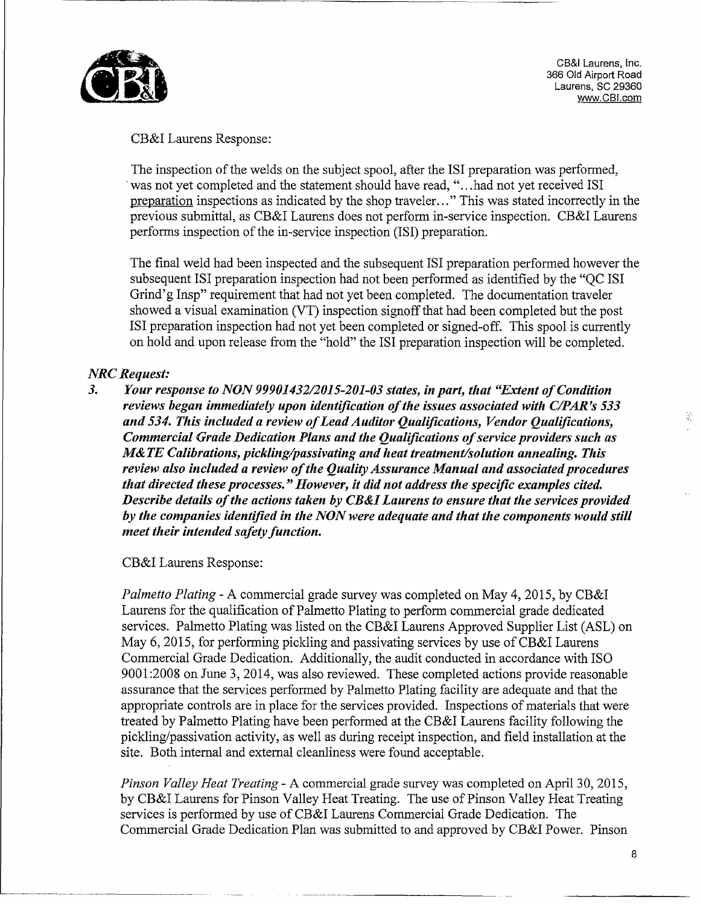

365 UIQ AIrport Road<br>- Laurens, SC 2036 CB&I Laurens, Inc. 366 Old Airport Road Laurens, SC 29360<br>www.CBI.com

# CB&I Laurens Response:

The inspection of the welds on the subject spooi, after the IS1 preparation was performed, was not yet completed and the statement should have read, "...had not yet received 1SI preparation inspections as indicated by the shop traveler..." This was stated incorrectly in the previous submittal, as CB&I Laurens does not perform in-service inspection. CB&I Laurens performs inspection of the in-service inspection (ISI) preparation.

The final weld had been inspected and the subsequent 1SI preparation performed however the subsequent 1S1 preparation inspection had not been performed as identified by the "QC ISI Grind'g Insp" requirement that had not yet been completed. The documentation traveler showed a visual examination (VT) inspection signoff that had been completed but the post ISI preparation inspection had not yet been completed or signed-off. This spool is currently on hold and upon release from the "hold" the ISI preparation inspection will be completed.

#### *NRC Request:*

*3. Your response to NON 99901432/2015-201-03 states, in part, that "Extent of Condition reviews began immediately upon identification of the issues associated with C/PAR's 533 and 534. This included a review of Lead Auditor Qualifications, Vendor Qualifications, Commercial Grade Dedication Plans and the Qualifications of service providers such as M& TE Calibrations, pickling/passivating and heat treatment/solution annealing. This review also included a review of the Quality Assurance Manual and associated procedures that directed these processes. "However, it did not address the specific examples cited. Describe details of the actions taken by CB&I Laurens to ensure that the services provided by the companies identified in the NON were adequate and that the components would still meet their intended safety function.*

CB&I Laurens Response:

*Palmetto Plating* - A commercial grade survey was completed on May 4, 2015, by CB&I Laurens for the qualification of Palmetto Plating to perform commercial grade dedicated services. Palmetto Plating was listed on the CB&I Laurens Approved Supplier List (ASL) on May 6, 2015, for performing pickling and passivating services by use of CB&I Laurens Commercial Grade Dedication. Additionally, the audit conducted in accordance with ISO 9001:2008 on June 3, 2014, was also reviewed. These completed actions provide reasonable assurance that the services performed by Palmetto Plating facility are adequate and that the appropriate controls are in place for the services provided. Inspections of materials that were appropriate controls are in place for the set vices provided. Inspections of materials that we<br>treated by Polmetto Plating have been performed at the CB&I Laurence fooility following the pickling/passivation activity, as well as during receipt inspection, and field installation at the pickling/passivation activity, as well as during receipt inspection, and field installation at the site. Both internal and external cleanliness were found acceptable.

*Pinson Valley Heat Treating* - A commercial grade survey was completed on April 30, 2015, by CB&I Laurens for Pinson Valley Heat Treating. The use of Pinson Valley Heat Treating services is performed by use of CB&I Laurens Commercial Grade Dedication. The Commercial Grade Dedication Plan was submitted to and approved by CB&I Power. Pinson

8

芜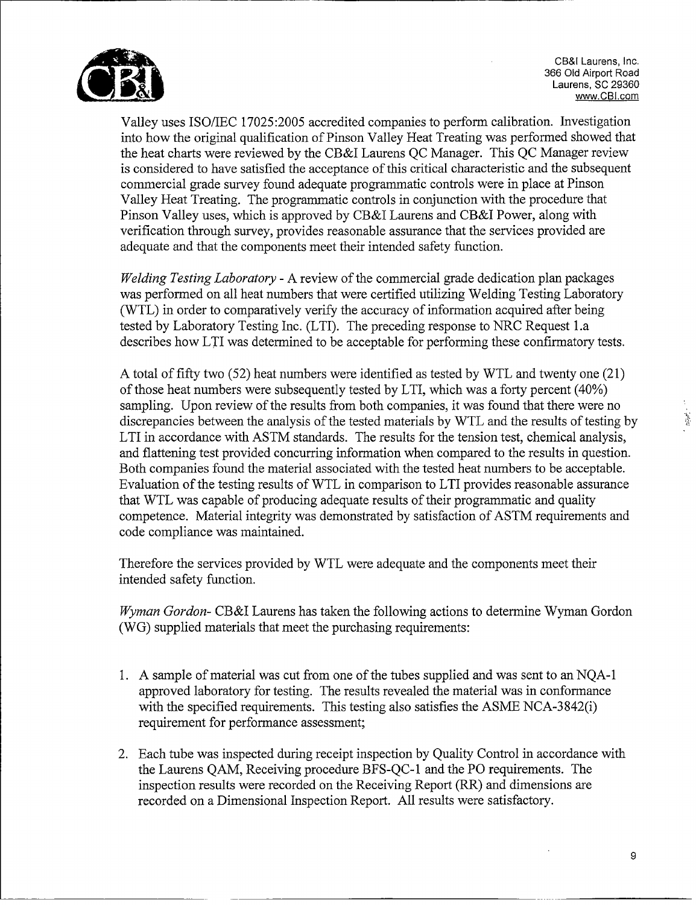

~CB&l Laurens, Inc. Laurens, SC 29360 CB&I Laurens, Inc.<br>366 Old Airport Road www.CBI.com

Valley uses ISO/IEC 17025:2005 accredited companies to perform calibration. Investigation into how the original qualification of Pinson Valley Heat Treating was performed showed that the heat charts were reviewed by the CB&I Laurens QC Manager. This QC Manager review is considered to have satisfied the acceptance of this critical characteristic and the subsequent commercial grade survey found adequate programmatic controls were in place at Pinson Valley Heat Treating. The programmatic controls in conjunction with the procedure that Pinson Valley uses, which is approved by CB&I Laurens and CB&I Power, along with verification through survey, provides reasonable assurance that the services provided are adequate and that the components meet their intended safety function.

*Welding Testing Laboratory* - A review of the commercial grade dedication plan packages was performed on all heat numbers that were certified utilizing Welding Testing Laboratory (WTL) in order to comparatively verify the accuracy of information acquired after being tested by Laboratory Testing Inc. (LTI). The preceding response to NRC Request l.a describes how LTI was determined to be acceptable for performing these confirmatory tests.

A total of fifty two (52) heat numbers were identified as tested by WTL and twenty one (21) of those heat numbers were subsequently tested by LTI, which was a forty percent (40%) sampling. Upon review of the results from both companies, it was found that there were no discrepancies between the analysis of the tested materials by WTL and the results of testing by LTI in accordance with ASTM standards. The results for the tension test, chemical analysis, and flattening test provided concurring information when compared to the results in question. Both companies found the material associated with the tested heat numbers to be acceptable. Evaluation of the testing results of WTL in comparison to LTI provides reasonable assurance that WTL was capable of producing adequate results of their programmatic and quality competence. Material integrity was demonstrated by satisfaction of ASTM requirements and code compliance was maintained.

Therefore the services provided by WTL were adequate and the components meet their intended safety function.

*Wyman Gordon-* CB&I Laurens has taken the following actions to determine Wyman Gordon (WG) supplied materials that meet the purchasing requirements:

- 1. A sample of material was cut from one of the tubes supplied and was sent to an NQA-1 approved laboratory for testing. The results revealed the material was in conformance with the specified requirements. This testing also satisfies the ASME NCA-3842(i) requirement for performance assessment;
- 2. Each tube was inspected during receipt inspection by Quality Control in accordance with the Laurens QAM, Receiving procedure BFS-QC-1 and the PO requirements. The inspection results were recorded on the Receiving Report (RR) and dimensions are recorded on a Dimensional Inspection Report. All results were satisfactory.

9

 $\frac{1}{2}$